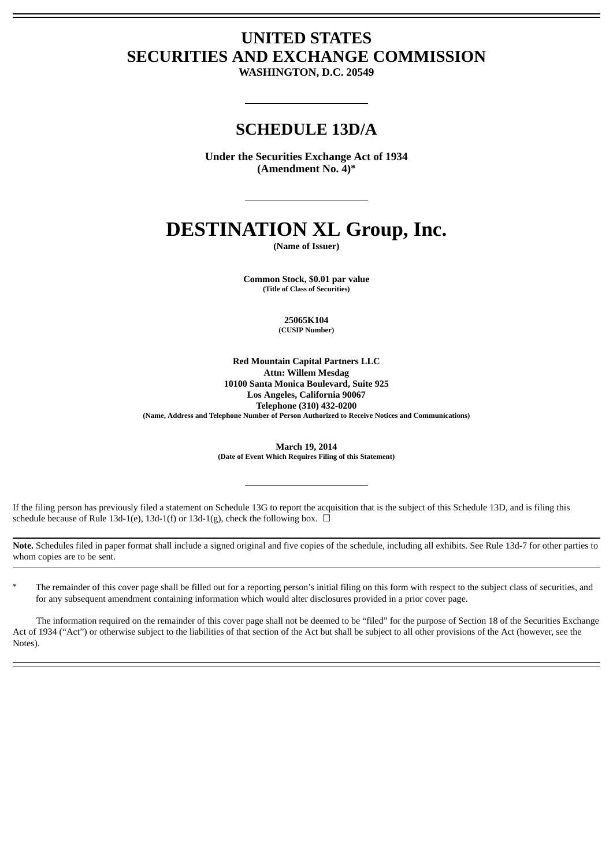# **UNITED STATES SECURITIES AND EXCHANGE COMMISSION**

**WASHINGTON, D.C. 20549**

## **SCHEDULE 13D/A**

**Under the Securities Exchange Act of 1934 (Amendment No. 4)\***

# **DESTINATION XL Group, Inc.**

**(Name of Issuer)**

**Common Stock, \$0.01 par value (Title of Class of Securities)**

> **25065K104 (CUSIP Number)**

**Red Mountain Capital Partners LLC Attn: Willem Mesdag 10100 Santa Monica Boulevard, Suite 925 Los Angeles, California 90067 Telephone (310) 432-0200 (Name, Address and Telephone Number of Person Authorized to Receive Notices and Communications)**

> **March 19, 2014 (Date of Event Which Requires Filing of this Statement)**

If the filing person has previously filed a statement on Schedule 13G to report the acquisition that is the subject of this Schedule 13D, and is filing this schedule because of Rule 13d-1(e), 13d-1(f) or 13d-1(g), check the following box.  $\Box$ 

**Note.** Schedules filed in paper format shall include a signed original and five copies of the schedule, including all exhibits. See Rule 13d-7 for other parties to whom copies are to be sent.

The remainder of this cover page shall be filled out for a reporting person's initial filing on this form with respect to the subject class of securities, and for any subsequent amendment containing information which would alter disclosures provided in a prior cover page.

The information required on the remainder of this cover page shall not be deemed to be "filed" for the purpose of Section 18 of the Securities Exchange Act of 1934 ("Act") or otherwise subject to the liabilities of that section of the Act but shall be subject to all other provisions of the Act (however, see the Notes).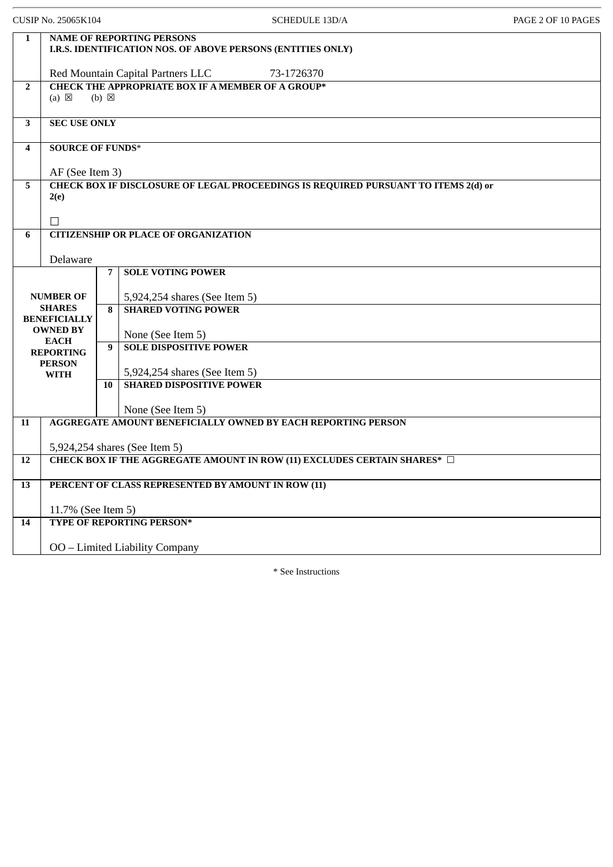| CUSIP No. 25065K104 |                                            |                 |                                                             | <b>SCHEDULE 13D/A</b>                                                              | PAGE 2 OF 10 PAGES |
|---------------------|--------------------------------------------|-----------------|-------------------------------------------------------------|------------------------------------------------------------------------------------|--------------------|
| $\mathbf{1}$        |                                            |                 | <b>NAME OF REPORTING PERSONS</b>                            | I.R.S. IDENTIFICATION NOS. OF ABOVE PERSONS (ENTITIES ONLY)                        |                    |
|                     |                                            |                 | Red Mountain Capital Partners LLC                           | 73-1726370                                                                         |                    |
| $\overline{2}$      | $(a) \boxtimes$                            | $(b) \boxtimes$ | <b>CHECK THE APPROPRIATE BOX IF A MEMBER OF A GROUP*</b>    |                                                                                    |                    |
| 3                   | <b>SEC USE ONLY</b>                        |                 |                                                             |                                                                                    |                    |
| 4                   | <b>SOURCE OF FUNDS*</b><br>AF (See Item 3) |                 |                                                             |                                                                                    |                    |
| 5                   | 2(e)<br>П                                  |                 |                                                             | CHECK BOX IF DISCLOSURE OF LEGAL PROCEEDINGS IS REQUIRED PURSUANT TO ITEMS 2(d) or |                    |
| 6                   |                                            |                 | <b>CITIZENSHIP OR PLACE OF ORGANIZATION</b>                 |                                                                                    |                    |
|                     | Delaware                                   |                 |                                                             |                                                                                    |                    |
|                     |                                            | 7               | <b>SOLE VOTING POWER</b>                                    |                                                                                    |                    |
|                     | <b>NUMBER OF</b><br><b>SHARES</b>          | 8               | 5,924,254 shares (See Item 5)<br><b>SHARED VOTING POWER</b> |                                                                                    |                    |
|                     | <b>BENEFICIALLY</b><br><b>OWNED BY</b>     |                 | None (See Item 5)                                           |                                                                                    |                    |
|                     | <b>EACH</b><br><b>REPORTING</b>            | 9               | <b>SOLE DISPOSITIVE POWER</b>                               |                                                                                    |                    |
|                     | <b>PERSON</b>                              |                 | 5,924,254 shares (See Item 5)                               |                                                                                    |                    |
|                     | <b>WITH</b>                                | 10              | <b>SHARED DISPOSITIVE POWER</b>                             |                                                                                    |                    |
|                     |                                            |                 | None (See Item 5)                                           |                                                                                    |                    |
| 11                  |                                            |                 |                                                             | <b>AGGREGATE AMOUNT BENEFICIALLY OWNED BY EACH REPORTING PERSON</b>                |                    |
|                     |                                            |                 |                                                             |                                                                                    |                    |
| 12                  |                                            |                 | 5,924,254 shares (See Item 5)                               | CHECK BOX IF THE AGGREGATE AMOUNT IN ROW (11) EXCLUDES CERTAIN SHARES* □           |                    |
|                     |                                            |                 |                                                             |                                                                                    |                    |
| 13                  |                                            |                 | PERCENT OF CLASS REPRESENTED BY AMOUNT IN ROW (11)          |                                                                                    |                    |
|                     | 11.7% (See Item 5)                         |                 |                                                             |                                                                                    |                    |
| 14                  |                                            |                 | TYPE OF REPORTING PERSON*                                   |                                                                                    |                    |
|                     |                                            |                 | OO - Limited Liability Company                              |                                                                                    |                    |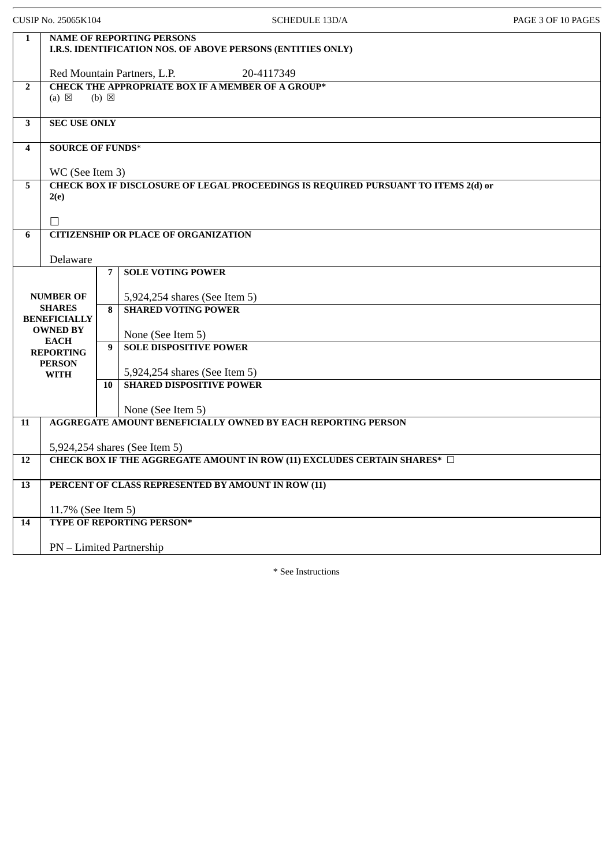| CUSIP No. 25065K104 |                                      |                 | <b>SCHEDULE 13D/A</b>                                                              | PAGE 3 OF 10 PAGES |
|---------------------|--------------------------------------|-----------------|------------------------------------------------------------------------------------|--------------------|
| $\mathbf{1}$        | <b>NAME OF REPORTING PERSONS</b>     |                 | I.R.S. IDENTIFICATION NOS. OF ABOVE PERSONS (ENTITIES ONLY)                        |                    |
|                     |                                      |                 | 20-4117349<br>Red Mountain Partners, L.P.                                          |                    |
| $\overline{2}$      | $(a) \boxtimes$                      | $(b) \boxtimes$ | <b>CHECK THE APPROPRIATE BOX IF A MEMBER OF A GROUP*</b>                           |                    |
| $\mathbf{3}$        | <b>SEC USE ONLY</b>                  |                 |                                                                                    |                    |
| 4                   | <b>SOURCE OF FUNDS*</b>              |                 |                                                                                    |                    |
|                     | WC (See Item 3)                      |                 |                                                                                    |                    |
| 5                   | 2(e)                                 |                 | CHECK BOX IF DISCLOSURE OF LEGAL PROCEEDINGS IS REQUIRED PURSUANT TO ITEMS 2(d) or |                    |
|                     | П                                    |                 |                                                                                    |                    |
| 6                   |                                      |                 | <b>CITIZENSHIP OR PLACE OF ORGANIZATION</b>                                        |                    |
|                     | Delaware                             |                 |                                                                                    |                    |
|                     |                                      | 7               | <b>SOLE VOTING POWER</b>                                                           |                    |
|                     | <b>NUMBER OF</b>                     |                 | 5,924,254 shares (See Item 5)                                                      |                    |
|                     | <b>SHARES</b><br><b>BENEFICIALLY</b> | 8               | <b>SHARED VOTING POWER</b>                                                         |                    |
|                     | <b>OWNED BY</b>                      |                 | None (See Item 5)                                                                  |                    |
|                     | <b>EACH</b><br><b>REPORTING</b>      | 9               | <b>SOLE DISPOSITIVE POWER</b>                                                      |                    |
|                     | <b>PERSON</b>                        |                 |                                                                                    |                    |
|                     | <b>WITH</b>                          | 10              | 5,924,254 shares (See Item 5)<br><b>SHARED DISPOSITIVE POWER</b>                   |                    |
|                     |                                      |                 |                                                                                    |                    |
|                     |                                      |                 | None (See Item 5)                                                                  |                    |
| 11                  |                                      |                 | <b>AGGREGATE AMOUNT BENEFICIALLY OWNED BY EACH REPORTING PERSON</b>                |                    |
|                     |                                      |                 | 5,924,254 shares (See Item 5)                                                      |                    |
| 12                  |                                      |                 | CHECK BOX IF THE AGGREGATE AMOUNT IN ROW (11) EXCLUDES CERTAIN SHARES* □           |                    |
| 13                  |                                      |                 | PERCENT OF CLASS REPRESENTED BY AMOUNT IN ROW (11)                                 |                    |
| 11.7% (See Item 5)  |                                      |                 |                                                                                    |                    |
| 14                  |                                      |                 | TYPE OF REPORTING PERSON*                                                          |                    |
|                     | <b>PN</b> – Limited Partnership      |                 |                                                                                    |                    |
|                     |                                      |                 |                                                                                    |                    |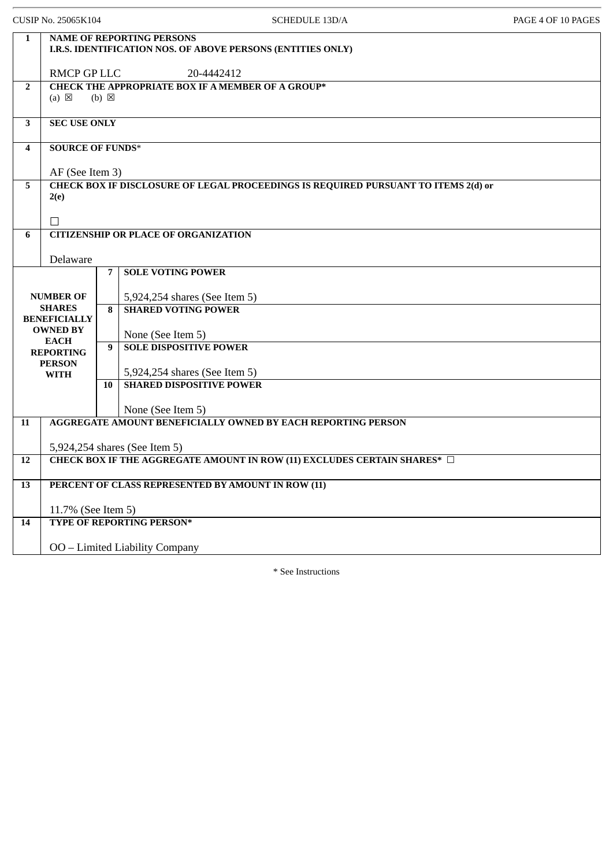| CUSIP No. 25065K104 |                                                        |                 | <b>SCHEDULE 13D/A</b>                                                                           | PAGE 4 OF 10 PAGES |
|---------------------|--------------------------------------------------------|-----------------|-------------------------------------------------------------------------------------------------|--------------------|
| $\mathbf{1}$        |                                                        |                 | <b>NAME OF REPORTING PERSONS</b><br>I.R.S. IDENTIFICATION NOS. OF ABOVE PERSONS (ENTITIES ONLY) |                    |
|                     | <b>RMCP GP LLC</b>                                     |                 | 20-4442412                                                                                      |                    |
| $\overline{2}$      | $(a) \boxtimes$                                        | $(b) \boxtimes$ | <b>CHECK THE APPROPRIATE BOX IF A MEMBER OF A GROUP*</b>                                        |                    |
| 3                   | <b>SEC USE ONLY</b>                                    |                 |                                                                                                 |                    |
| 4                   | <b>SOURCE OF FUNDS*</b>                                |                 |                                                                                                 |                    |
|                     | AF (See Item 3)                                        |                 |                                                                                                 |                    |
| 5                   |                                                        |                 | CHECK BOX IF DISCLOSURE OF LEGAL PROCEEDINGS IS REQUIRED PURSUANT TO ITEMS 2(d) or              |                    |
|                     | 2(e)                                                   |                 |                                                                                                 |                    |
|                     | П                                                      |                 |                                                                                                 |                    |
| 6                   |                                                        |                 | <b>CITIZENSHIP OR PLACE OF ORGANIZATION</b>                                                     |                    |
|                     | Delaware                                               |                 |                                                                                                 |                    |
|                     |                                                        | $\overline{7}$  | <b>SOLE VOTING POWER</b>                                                                        |                    |
|                     |                                                        |                 |                                                                                                 |                    |
|                     | <b>NUMBER OF</b><br><b>SHARES</b>                      | 8               | 5,924,254 shares (See Item 5)<br><b>SHARED VOTING POWER</b>                                     |                    |
|                     | <b>BENEFICIALLY</b>                                    |                 |                                                                                                 |                    |
|                     | <b>OWNED BY</b><br><b>EACH</b>                         |                 | None (See Item 5)                                                                               |                    |
|                     | <b>REPORTING</b>                                       | 9               | <b>SOLE DISPOSITIVE POWER</b>                                                                   |                    |
|                     | <b>PERSON</b>                                          |                 | 5,924,254 shares (See Item 5)                                                                   |                    |
|                     | <b>WITH</b>                                            | 10              | <b>SHARED DISPOSITIVE POWER</b>                                                                 |                    |
|                     |                                                        |                 |                                                                                                 |                    |
|                     |                                                        |                 | None (See Item 5)                                                                               |                    |
| 11                  |                                                        |                 | <b>AGGREGATE AMOUNT BENEFICIALLY OWNED BY EACH REPORTING PERSON</b>                             |                    |
|                     |                                                        |                 | 5,924,254 shares (See Item 5)                                                                   |                    |
| 12                  |                                                        |                 | CHECK BOX IF THE AGGREGATE AMOUNT IN ROW (11) EXCLUDES CERTAIN SHARES* □                        |                    |
| 13                  |                                                        |                 | PERCENT OF CLASS REPRESENTED BY AMOUNT IN ROW (11)                                              |                    |
|                     |                                                        |                 |                                                                                                 |                    |
|                     | 11.7% (See Item 5)<br><b>TYPE OF REPORTING PERSON*</b> |                 |                                                                                                 |                    |
| 14                  |                                                        |                 |                                                                                                 |                    |
|                     |                                                        |                 | OO - Limited Liability Company                                                                  |                    |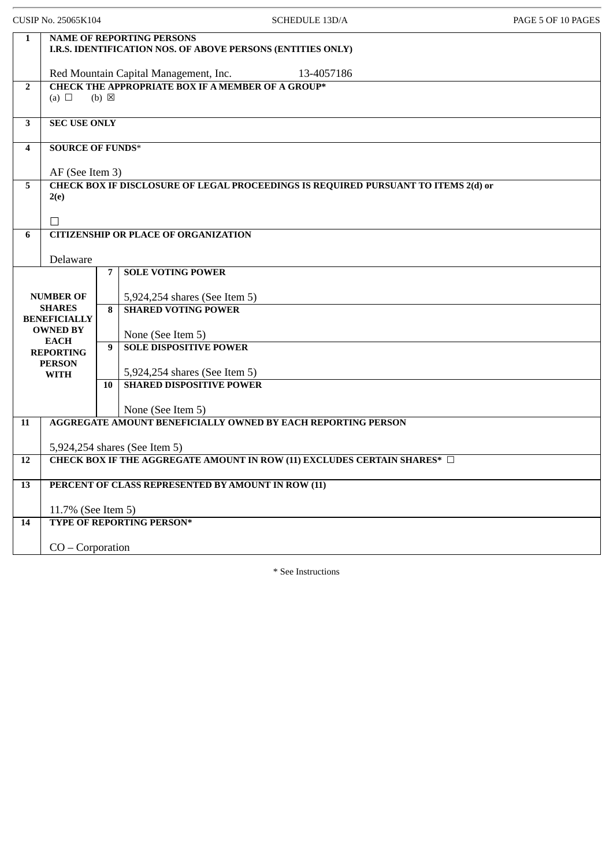| CUSIP No. 25065K104                  |                                                     |                 | <b>SCHEDULE 13D/A</b>                                                                           | PAGE 5 OF 10 PAGES |  |  |
|--------------------------------------|-----------------------------------------------------|-----------------|-------------------------------------------------------------------------------------------------|--------------------|--|--|
| $\mathbf{1}$                         |                                                     |                 | <b>NAME OF REPORTING PERSONS</b><br>I.R.S. IDENTIFICATION NOS. OF ABOVE PERSONS (ENTITIES ONLY) |                    |  |  |
|                                      | Red Mountain Capital Management, Inc.<br>13-4057186 |                 |                                                                                                 |                    |  |  |
| $\overline{2}$                       | (a) $\Box$                                          | $(b) \boxtimes$ | <b>CHECK THE APPROPRIATE BOX IF A MEMBER OF A GROUP*</b>                                        |                    |  |  |
| 3                                    | <b>SEC USE ONLY</b>                                 |                 |                                                                                                 |                    |  |  |
| 4                                    | <b>SOURCE OF FUNDS*</b><br>AF (See Item 3)          |                 |                                                                                                 |                    |  |  |
| 5                                    | 2(e)<br>П                                           |                 | CHECK BOX IF DISCLOSURE OF LEGAL PROCEEDINGS IS REQUIRED PURSUANT TO ITEMS 2(d) or              |                    |  |  |
| 6                                    |                                                     |                 | <b>CITIZENSHIP OR PLACE OF ORGANIZATION</b>                                                     |                    |  |  |
|                                      | Delaware                                            |                 |                                                                                                 |                    |  |  |
|                                      |                                                     | 7               | <b>SOLE VOTING POWER</b>                                                                        |                    |  |  |
|                                      | <b>NUMBER OF</b>                                    |                 | 5,924,254 shares (See Item 5)                                                                   |                    |  |  |
| <b>SHARES</b><br><b>BENEFICIALLY</b> |                                                     | 8               | <b>SHARED VOTING POWER</b>                                                                      |                    |  |  |
|                                      | <b>OWNED BY</b>                                     |                 | None (See Item 5)                                                                               |                    |  |  |
|                                      | <b>EACH</b><br><b>REPORTING</b>                     | 9               | <b>SOLE DISPOSITIVE POWER</b>                                                                   |                    |  |  |
|                                      | <b>PERSON</b><br><b>WITH</b>                        |                 | 5,924,254 shares (See Item 5)                                                                   |                    |  |  |
|                                      |                                                     | 10              | <b>SHARED DISPOSITIVE POWER</b>                                                                 |                    |  |  |
|                                      |                                                     |                 | None (See Item 5)                                                                               |                    |  |  |
| 11                                   |                                                     |                 | <b>AGGREGATE AMOUNT BENEFICIALLY OWNED BY EACH REPORTING PERSON</b>                             |                    |  |  |
|                                      |                                                     |                 | 5,924,254 shares (See Item 5)                                                                   |                    |  |  |
| 12                                   |                                                     |                 | CHECK BOX IF THE AGGREGATE AMOUNT IN ROW (11) EXCLUDES CERTAIN SHARES* □                        |                    |  |  |
|                                      |                                                     |                 |                                                                                                 |                    |  |  |
| 13                                   |                                                     |                 | PERCENT OF CLASS REPRESENTED BY AMOUNT IN ROW (11)                                              |                    |  |  |
|                                      | 11.7% (See Item 5)                                  |                 |                                                                                                 |                    |  |  |
| 14                                   |                                                     |                 | <b>TYPE OF REPORTING PERSON*</b>                                                                |                    |  |  |
|                                      | $CO - Corporation$                                  |                 |                                                                                                 |                    |  |  |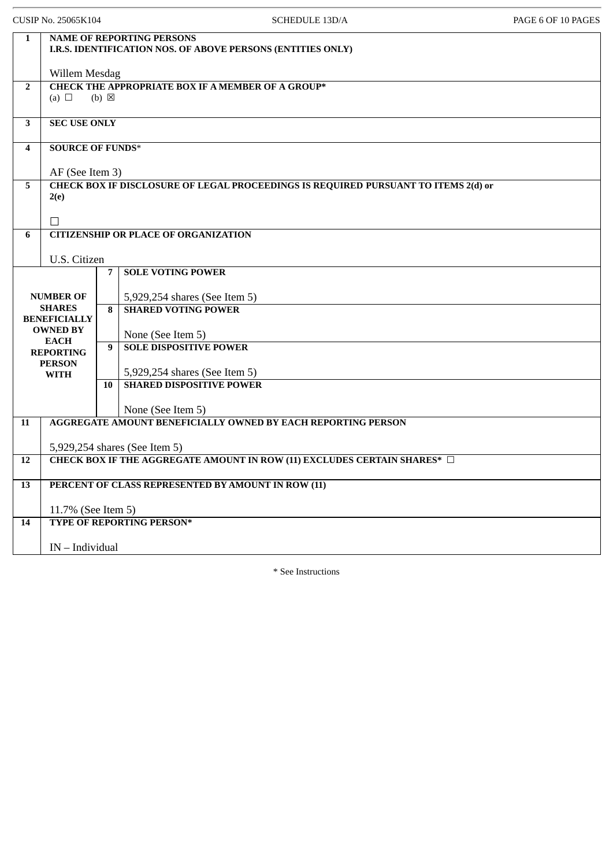| CUSIP No. 25065K104 |                                      |                 | <b>SCHEDULE 13D/A</b>                                                                           | PAGE 6 OF 10 PAGES |
|---------------------|--------------------------------------|-----------------|-------------------------------------------------------------------------------------------------|--------------------|
| 1                   |                                      |                 | <b>NAME OF REPORTING PERSONS</b><br>I.R.S. IDENTIFICATION NOS. OF ABOVE PERSONS (ENTITIES ONLY) |                    |
|                     | Willem Mesdag                        |                 |                                                                                                 |                    |
| $\overline{2}$      | (a) $\Box$                           | $(b) \boxtimes$ | <b>CHECK THE APPROPRIATE BOX IF A MEMBER OF A GROUP*</b>                                        |                    |
| $\mathbf{3}$        | <b>SEC USE ONLY</b>                  |                 |                                                                                                 |                    |
| 4                   | <b>SOURCE OF FUNDS*</b>              |                 |                                                                                                 |                    |
|                     | AF (See Item 3)                      |                 |                                                                                                 |                    |
| 5                   | 2(e)                                 |                 | CHECK BOX IF DISCLOSURE OF LEGAL PROCEEDINGS IS REQUIRED PURSUANT TO ITEMS 2(d) or              |                    |
|                     |                                      |                 |                                                                                                 |                    |
|                     | П                                    |                 |                                                                                                 |                    |
| 6                   |                                      |                 | <b>CITIZENSHIP OR PLACE OF ORGANIZATION</b>                                                     |                    |
|                     | U.S. Citizen                         |                 |                                                                                                 |                    |
|                     |                                      | 7               | <b>SOLE VOTING POWER</b>                                                                        |                    |
|                     | <b>NUMBER OF</b>                     |                 | 5,929,254 shares (See Item 5)                                                                   |                    |
|                     | <b>SHARES</b><br><b>BENEFICIALLY</b> | 8               | <b>SHARED VOTING POWER</b>                                                                      |                    |
|                     | <b>OWNED BY</b>                      |                 | None (See Item 5)                                                                               |                    |
|                     | <b>EACH</b><br><b>REPORTING</b>      | 9               | <b>SOLE DISPOSITIVE POWER</b>                                                                   |                    |
|                     | <b>PERSON</b>                        |                 |                                                                                                 |                    |
|                     | <b>WITH</b>                          | 10              | 5,929,254 shares (See Item 5)<br><b>SHARED DISPOSITIVE POWER</b>                                |                    |
|                     |                                      |                 |                                                                                                 |                    |
| 11                  |                                      |                 | None (See Item 5)<br><b>AGGREGATE AMOUNT BENEFICIALLY OWNED BY EACH REPORTING PERSON</b>        |                    |
|                     |                                      |                 |                                                                                                 |                    |
|                     |                                      |                 | 5,929,254 shares (See Item 5)                                                                   |                    |
| 12                  |                                      |                 | CHECK BOX IF THE AGGREGATE AMOUNT IN ROW (11) EXCLUDES CERTAIN SHARES* □                        |                    |
| 13                  |                                      |                 | PERCENT OF CLASS REPRESENTED BY AMOUNT IN ROW (11)                                              |                    |
| 11.7% (See Item 5)  |                                      |                 |                                                                                                 |                    |
| 14                  |                                      |                 | TYPE OF REPORTING PERSON*                                                                       |                    |
|                     | $IN$ – Individual                    |                 |                                                                                                 |                    |
|                     |                                      |                 |                                                                                                 |                    |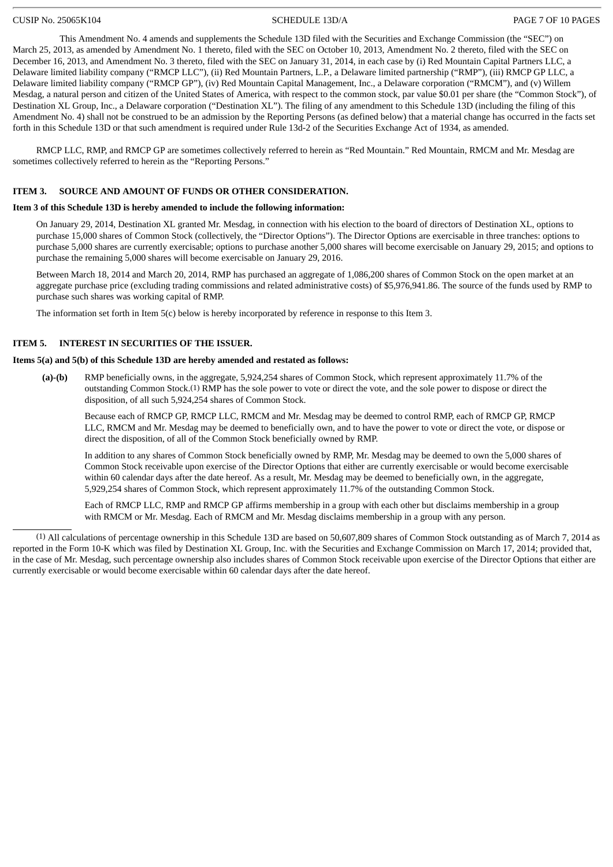### CUSIP No. 25065K104 SCHEDULE 13D/A PAGE 7 OF 10 PAGES

This Amendment No. 4 amends and supplements the Schedule 13D filed with the Securities and Exchange Commission (the "SEC") on March 25, 2013, as amended by Amendment No. 1 thereto, filed with the SEC on October 10, 2013, Amendment No. 2 thereto, filed with the SEC on December 16, 2013, and Amendment No. 3 thereto, filed with the SEC on January 31, 2014, in each case by (i) Red Mountain Capital Partners LLC, a Delaware limited liability company ("RMCP LLC"), (ii) Red Mountain Partners, L.P., a Delaware limited partnership ("RMP"), (iii) RMCP GP LLC, a Delaware limited liability company ("RMCP GP"), (iv) Red Mountain Capital Management, Inc., a Delaware corporation ("RMCM"), and (v) Willem Mesdag, a natural person and citizen of the United States of America, with respect to the common stock, par value \$0.01 per share (the "Common Stock"), of Destination XL Group, Inc., a Delaware corporation ("Destination XL"). The filing of any amendment to this Schedule 13D (including the filing of this Amendment No. 4) shall not be construed to be an admission by the Reporting Persons (as defined below) that a material change has occurred in the facts set forth in this Schedule 13D or that such amendment is required under Rule 13d-2 of the Securities Exchange Act of 1934, as amended.

RMCP LLC, RMP, and RMCP GP are sometimes collectively referred to herein as "Red Mountain." Red Mountain, RMCM and Mr. Mesdag are sometimes collectively referred to herein as the "Reporting Persons."

### **ITEM 3. SOURCE AND AMOUNT OF FUNDS OR OTHER CONSIDERATION.**

### **Item 3 of this Schedule 13D is hereby amended to include the following information:**

On January 29, 2014, Destination XL granted Mr. Mesdag, in connection with his election to the board of directors of Destination XL, options to purchase 15,000 shares of Common Stock (collectively, the "Director Options"). The Director Options are exercisable in three tranches: options to purchase 5,000 shares are currently exercisable; options to purchase another 5,000 shares will become exercisable on January 29, 2015; and options to purchase the remaining 5,000 shares will become exercisable on January 29, 2016.

Between March 18, 2014 and March 20, 2014, RMP has purchased an aggregate of 1,086,200 shares of Common Stock on the open market at an aggregate purchase price (excluding trading commissions and related administrative costs) of \$5,976,941.86. The source of the funds used by RMP to purchase such shares was working capital of RMP.

The information set forth in Item 5(c) below is hereby incorporated by reference in response to this Item 3.

### **ITEM 5. INTEREST IN SECURITIES OF THE ISSUER.**

### **Items 5(a) and 5(b) of this Schedule 13D are hereby amended and restated as follows:**

**(a)-(b)** RMP beneficially owns, in the aggregate, 5,924,254 shares of Common Stock, which represent approximately 11.7% of the outstanding Common Stock.(1) RMP has the sole power to vote or direct the vote, and the sole power to dispose or direct the disposition, of all such 5,924,254 shares of Common Stock.

Because each of RMCP GP, RMCP LLC, RMCM and Mr. Mesdag may be deemed to control RMP, each of RMCP GP, RMCP LLC, RMCM and Mr. Mesdag may be deemed to beneficially own, and to have the power to vote or direct the vote, or dispose or direct the disposition, of all of the Common Stock beneficially owned by RMP.

In addition to any shares of Common Stock beneficially owned by RMP, Mr. Mesdag may be deemed to own the 5,000 shares of Common Stock receivable upon exercise of the Director Options that either are currently exercisable or would become exercisable within 60 calendar days after the date hereof. As a result, Mr. Mesdag may be deemed to beneficially own, in the aggregate, 5,929,254 shares of Common Stock, which represent approximately 11.7% of the outstanding Common Stock.

Each of RMCP LLC, RMP and RMCP GP affirms membership in a group with each other but disclaims membership in a group with RMCM or Mr. Mesdag. Each of RMCM and Mr. Mesdag disclaims membership in a group with any person.

(1) All calculations of percentage ownership in this Schedule 13D are based on 50,607,809 shares of Common Stock outstanding as of March 7, 2014 as reported in the Form 10-K which was filed by Destination XL Group, Inc. with the Securities and Exchange Commission on March 17, 2014; provided that, in the case of Mr. Mesdag, such percentage ownership also includes shares of Common Stock receivable upon exercise of the Director Options that either are currently exercisable or would become exercisable within 60 calendar days after the date hereof.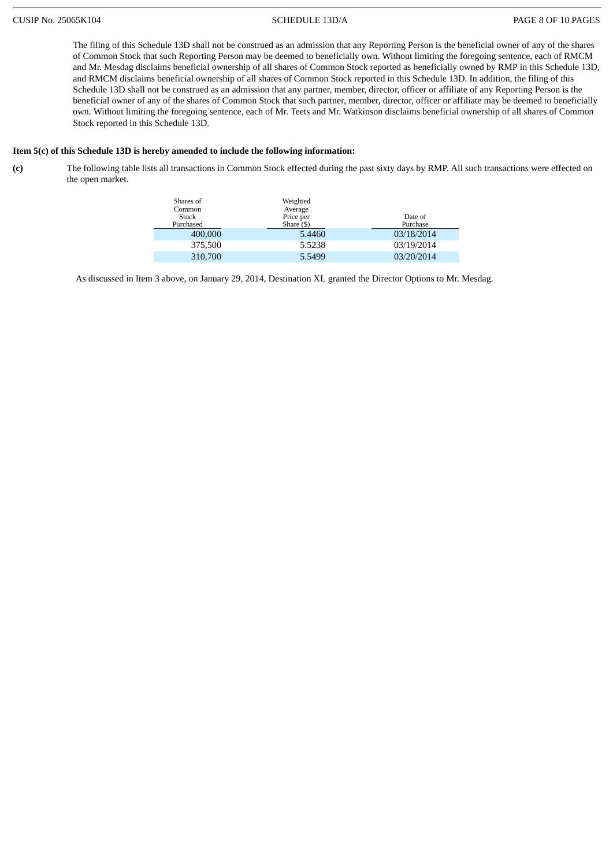The filing of this Schedule 13D shall not be construed as an admission that any Reporting Person is the beneficial owner of any of the shares of Common Stock that such Reporting Person may be deemed to beneficially own. Without limiting the foregoing sentence, each of RMCM and Mr. Mesdag disclaims beneficial ownership of all shares of Common Stock reported as beneficially owned by RMP in this Schedule 13D, and RMCM disclaims beneficial ownership of all shares of Common Stock reported in this Schedule 13D. In addition, the filing of this Schedule 13D shall not be construed as an admission that any partner, member, director, officer or affiliate of any Reporting Person is the beneficial owner of any of the shares of Common Stock that such partner, member, director, officer or affiliate may be deemed to beneficially own. Without limiting the foregoing sentence, each of Mr. Teets and Mr. Watkinson disclaims beneficial ownership of all shares of Common Stock reported in this Schedule 13D.

### **Item 5(c) of this Schedule 13D is hereby amended to include the following information:**

**(c)** The following table lists all transactions in Common Stock effected during the past sixty days by RMP. All such transactions were effected on the open market.

| Shares of<br>Common<br>Stock<br>Purchased | Weighted<br>Average<br>Price per<br>Share $($ \$) | Date of<br>Purchase |  |  |
|-------------------------------------------|---------------------------------------------------|---------------------|--|--|
| 400,000                                   | 5.4460                                            | 03/18/2014          |  |  |
| 375,500                                   | 5.5238                                            | 03/19/2014          |  |  |
| 310,700                                   | 5.5499                                            | 03/20/2014          |  |  |

As discussed in Item 3 above, on January 29, 2014, Destination XL granted the Director Options to Mr. Mesdag.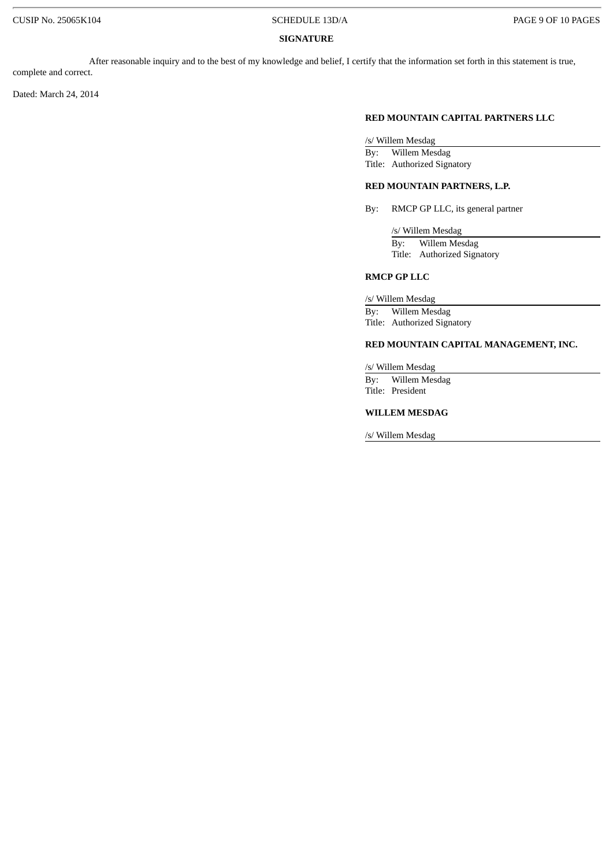### **SIGNATURE**

After reasonable inquiry and to the best of my knowledge and belief, I certify that the information set forth in this statement is true, complete and correct.

Dated: March 24, 2014

### **RED MOUNTAIN CAPITAL PARTNERS LLC**

/s/ Willem Mesdag

By: Willem Mesdag Title: Authorized Signatory

### **RED MOUNTAIN PARTNERS, L.P.**

By: RMCP GP LLC, its general partner

/s/ Willem Mesdag By: Willem Mesdag Title: Authorized Signatory

### **RMCP GP LLC**

/s/ Willem Mesdag

By: Willem Mesdag Title: Authorized Signatory

### **RED MOUNTAIN CAPITAL MANAGEMENT, INC.**

/s/ Willem Mesdag

By: Willem Mesdag Title: President

### **WILLEM MESDAG**

/s/ Willem Mesdag